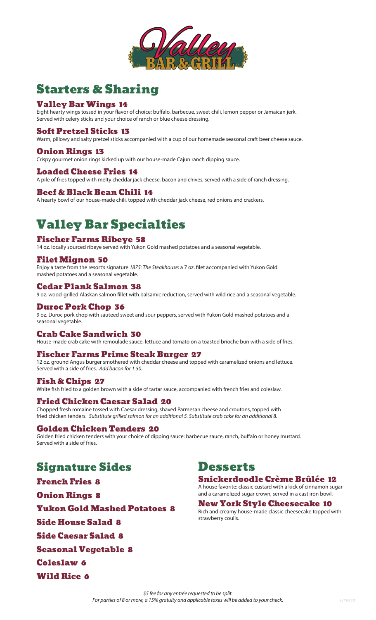

# Starters & Sharing

#### Valley Bar Wings 14

Eight hearty wings tossed in your flavor of choice: buffalo, barbecue, sweet chili, lemon pepper or Jamaican jerk. Served with celery sticks and your choice of ranch or blue cheese dressing.

#### Soft Pretzel Sticks 13

Warm, pillowy and salty pretzel sticks accompanied with a cup of our homemade seasonal craft beer cheese sauce.

#### Onion Rings 13

Crispy gourmet onion rings kicked up with our house-made Cajun ranch dipping sauce.

#### Loaded Cheese Fries 14

A pile of fries topped with melty cheddar jack cheese, bacon and chives, served with a side of ranch dressing.

#### Beef & Black Bean Chili 14

A hearty bowl of our house-made chili, topped with cheddar jack cheese, red onions and crackers.

# Valley Bar Specialties

#### Fischer Farms Ribeye 58

14 oz. locally sourced ribeye served with Yukon Gold mashed potatoes and a seasonal vegetable.

#### Filet Mignon 50

Enjoy a taste from the resort's signature *1875: The Steakhouse*: a 7 oz. filet accompanied with Yukon Gold mashed potatoes and a seasonal vegetable.

#### Cedar Plank Salmon 38

9 oz. wood-grilled Alaskan salmon fillet with balsamic reduction, served with wild rice and a seasonal vegetable.

#### Duroc Pork Chop 36

9 oz. Duroc pork chop with sauteed sweet and sour peppers, served with Yukon Gold mashed potatoes and a seasonal vegetable.

#### Crab Cake Sandwich 30

House-made crab cake with remoulade sauce, lettuce and tomato on a toasted brioche bun with a side of fries.

#### Fischer Farms Prime Steak Burger 27

12 oz. ground Angus burger smothered with cheddar cheese and topped with caramelized onions and lettuce. Served with a side of fries. *Add bacon for 1.50.* 

#### Fish & Chips 27

White fish fried to a golden brown with a side of tartar sauce, accompanied with french fries and coleslaw.

#### Fried Chicken Caesar Salad 20

Chopped fresh romaine tossed with Caesar dressing, shaved Parmesan cheese and croutons, topped with fried chicken tenders. *Substitute grilled salmon for an additional 5. Substitute crab cake for an additional 8.*

#### Golden Chicken Tenders 20

Golden fried chicken tenders with your choice of dipping sauce: barbecue sauce, ranch, buffalo or honey mustard. Served with a side of fries.

### Signature Sides

French Fries 8

Onion Rings 8

Yukon Gold Mashed Potatoes 8

Side House Salad 8

Side Caesar Salad 8

Seasonal Vegetable 8

Coleslaw 6

Wild Rice 6

### **Desserts**

Snickerdoodle Crème Brûlée 12 A house favorite: classic custard with a kick of cinnamon sugar and a caramelized sugar crown, served in a cast iron bowl.

New York Style Cheesecake 10 Rich and creamy house-made classic cheesecake topped with strawberry coulis.